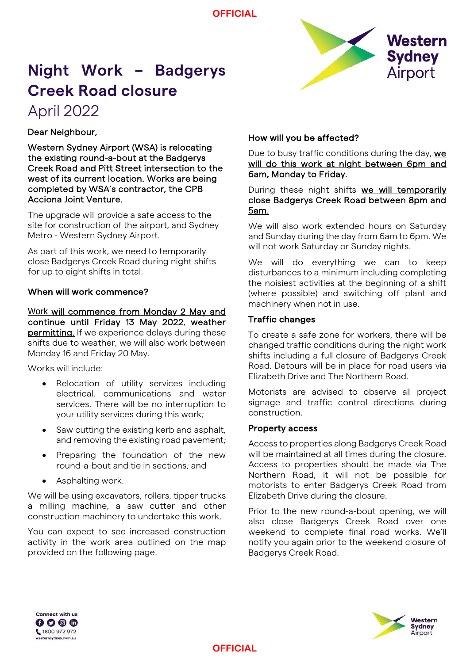**OFFICIAL**



# **Night Work – Badgerys Creek Road closure**

# April 2022

Dear Neighbour,

Western Sydney Airport (WSA) is relocating the existing round-a-bout at the Badgerys Creek Road and Pitt Street intersection to the west of its current location. Works are being completed by WSA's contractor, the CPB Acciona Joint Venture.

The upgrade will provide a safe access to the site for construction of the airport, and Sydney Metro - Western Sydney Airport.

As part of this work, we need to temporarily close Badgerys Creek Road during night shifts for up to eight shifts in total.

#### When will work commence?

Work will commence from Monday 2 May and continue until Friday 13 May 2022, weather permitting. If we experience delays during these shifts due to weather, we will also work between Monday 16 and Friday 20 May.

Works will include:

- Relocation of utility services including electrical, communications and water services. There will be no interruption to your utility services during this work;
- Saw cutting the existing kerb and asphalt, and removing the existing road pavement;
- Preparing the foundation of the new round-a-bout and tie in sections; and
- Asphalting work.

We will be using excavators, rollers, tipper trucks a milling machine, a saw cutter and other construction machinery to undertake this work.

You can expect to see increased construction activity in the work area outlined on the map provided on the following page.

#### How will you be affected?

Due to busy traffic conditions during the day, we will do this work at night between 6pm and 6am, Monday to Friday.

During these night shifts we will temporarily close Badgerys Creek Road between 8pm and 5am.

We will also work extended hours on Saturday and Sunday during the day from 6am to 6pm. We will not work Saturday or Sunday nights.

We will do everything we can to keep disturbances to a minimum including completing the noisiest activities at the beginning of a shift (where possible) and switching off plant and machinery when not in use.

### Traffic changes

To create a safe zone for workers, there will be changed traffic conditions during the night work shifts including a full closure of Badgerys Creek Road. Detours will be in place for road users via Elizabeth Drive and The Northern Road.

Motorists are advised to observe all project signage and traffic control directions during construction.

#### Property access

Access to properties along Badgerys Creek Road will be maintained at all times during the closure. Access to properties should be made via The Northern Road, it will not be possible for motorists to enter Badgerys Creek Road from Elizabeth Drive during the closure.

Prior to the new round-a-bout opening, we will also close Badgerys Creek Road over one weekend to complete final road works. We'll notify you again prior to the weekend closure of Badgerys Creek Road.



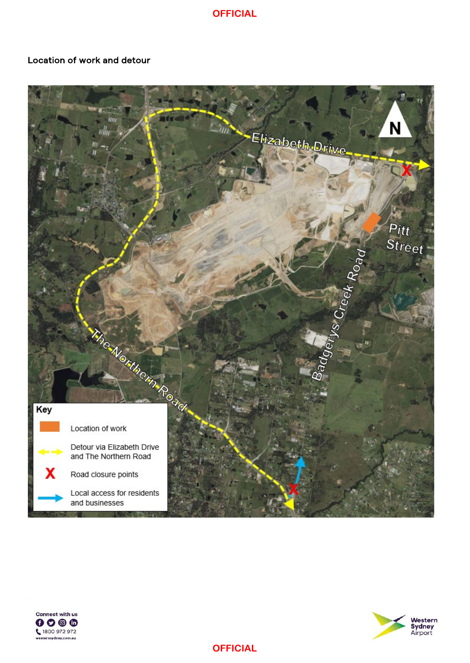**OFFICIAL**

#### Location of work and detour







**OFFICIAL**